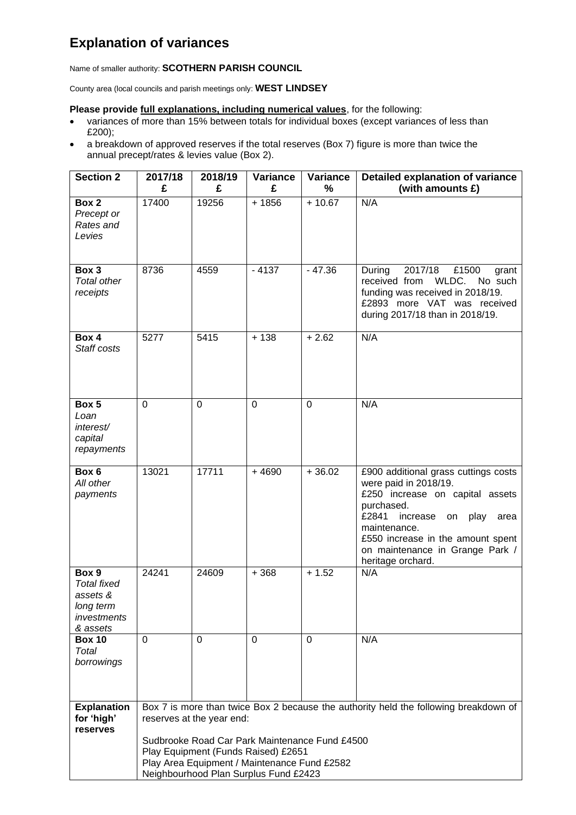## **Explanation of variances**

Name of smaller authority: **SCOTHERN PARISH COUNCIL**

County area (local councils and parish meetings only: **WEST LINDSEY**

## **Please provide full explanations, including numerical values**, for the following:

- variances of more than 15% between totals for individual boxes (except variances of less than £200);
- a breakdown of approved reserves if the total reserves (Box 7) figure is more than twice the annual precept/rates & levies value (Box 2).

| <b>Section 2</b>                                                                | 2017/18                                                                                                                                                                                                                                                                                             | 2018/19        | Variance       | Variance       | <b>Detailed explanation of variance</b>                                                                                                                                                                                                                                |
|---------------------------------------------------------------------------------|-----------------------------------------------------------------------------------------------------------------------------------------------------------------------------------------------------------------------------------------------------------------------------------------------------|----------------|----------------|----------------|------------------------------------------------------------------------------------------------------------------------------------------------------------------------------------------------------------------------------------------------------------------------|
|                                                                                 | £                                                                                                                                                                                                                                                                                                   | £              | £              | %              | (with amounts £)                                                                                                                                                                                                                                                       |
| Box 2<br>Precept or<br>Rates and<br>Levies                                      | 17400                                                                                                                                                                                                                                                                                               | 19256          | $+1856$        | $+10.67$       | N/A                                                                                                                                                                                                                                                                    |
| Box 3<br><b>Total other</b><br>receipts                                         | 8736                                                                                                                                                                                                                                                                                                | 4559           | $-4137$        | $-47.36$       | 2017/18<br>£1500<br>During<br>grant<br>received from WLDC.<br>No such<br>funding was received in 2018/19.<br>£2893 more VAT was received<br>during 2017/18 than in 2018/19.                                                                                            |
| Box 4<br>Staff costs                                                            | 5277                                                                                                                                                                                                                                                                                                | 5415           | $+138$         | $+2.62$        | N/A                                                                                                                                                                                                                                                                    |
| Box 5<br>Loan<br>interest/<br>capital<br>repayments                             | $\Omega$                                                                                                                                                                                                                                                                                            | $\overline{0}$ | $\overline{0}$ | $\mathbf 0$    | N/A                                                                                                                                                                                                                                                                    |
| Box 6<br>All other<br>payments                                                  | 13021                                                                                                                                                                                                                                                                                               | 17711          | $+4690$        | $+36.02$       | £900 additional grass cuttings costs<br>were paid in 2018/19.<br>£250 increase on capital assets<br>purchased.<br>£2841<br>increase<br>on<br>play<br>area<br>maintenance.<br>£550 increase in the amount spent<br>on maintenance in Grange Park /<br>heritage orchard. |
| Box 9<br><b>Total fixed</b><br>assets &<br>long term<br>investments<br>& assets | 24241                                                                                                                                                                                                                                                                                               | 24609          | $+368$         | $+1.52$        | N/A                                                                                                                                                                                                                                                                    |
| <b>Box 10</b><br>Total<br>borrowings                                            | $\Omega$                                                                                                                                                                                                                                                                                            | $\mathbf 0$    | $\overline{0}$ | $\overline{0}$ | N/A                                                                                                                                                                                                                                                                    |
| <b>Explanation</b><br>for 'high'<br>reserves                                    | Box 7 is more than twice Box 2 because the authority held the following breakdown of<br>reserves at the year end:<br>Sudbrooke Road Car Park Maintenance Fund £4500<br>Play Equipment (Funds Raised) £2651<br>Play Area Equipment / Maintenance Fund £2582<br>Neighbourhood Plan Surplus Fund £2423 |                |                |                |                                                                                                                                                                                                                                                                        |